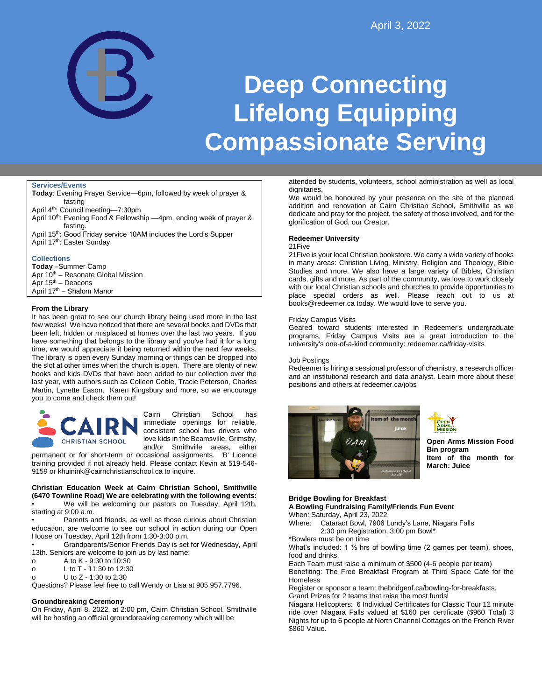

# **Deep Connecting Lifelong Equipping Compassionate Serving**

#### **Services/Events**

**Today**: Evening Prayer Service—6pm, followed by week of prayer & fasting

April 4<sup>th</sup>: Council meeting-7:30pm

- April 10<sup>th</sup>: Evening Food & Fellowship -4pm, ending week of prayer & fasting.
- April 15th: Good Friday service 10AM includes the Lord's Supper April 17<sup>th</sup>: Easter Sunday.

## **Collections**

**Today** –Summer Camp Apr 10<sup>th</sup> – Resonate Global Mission Apr  $15^{th}$  – Deacons April 17th – Shalom Manor

## **From the Library**

It has been great to see our church library being used more in the last few weeks! We have noticed that there are several books and DVDs that been left, hidden or misplaced at homes over the last two years. If you have something that belongs to the library and you've had it for a long time, we would appreciate it being returned within the next few weeks. The library is open every Sunday morning or things can be dropped into the slot at other times when the church is open. There are plenty of new books and kids DVDs that have been added to our collection over the last year, with authors such as Colleen Coble, Tracie Peterson, Charles Martin, Lynette Eason, Karen Kingsbury and more, so we encourage you to come and check them out!



Cairn Christian School has immediate openings for reliable, consistent school bus drivers who love kids in the Beamsville, Grimsby, and/or Smithville areas, either

permanent or for short-term or occasional assignments. 'B' Licence training provided if not already held. Please contact Kevin at 519-546- 9159 or khuinink@cairnchristianschool.ca to inquire.

# **Christian Education Week at Cairn Christian School, Smithville (6470 Townline Road) We are celebrating with the following events:**

• We will be welcoming our pastors on Tuesday, April 12th, starting at 9:00 a.m.

Parents and friends, as well as those curious about Christian education, are welcome to see our school in action during our Open House on Tuesday, April 12th from 1:30-3:00 p.m.

• Grandparents/Senior Friends Day is set for Wednesday, April 13th. Seniors are welcome to join us by last name:

- o A to K 9:30 to 10:30
- o L to T 11:30 to 12:30
- o U to Z 1:30 to 2:30

Questions? Please feel free to call Wendy or Lisa at 905.957.7796.

# **Groundbreaking Ceremony**

On Friday, April 8, 2022, at 2:00 pm, Cairn Christian School, Smithville will be hosting an official groundbreaking ceremony which will be

attended by students, volunteers, school administration as well as local dignitaries.

We would be honoured by your presence on the site of the planned addition and renovation at Cairn Christian School, Smithville as we dedicate and pray for the project, the safety of those involved, and for the glorification of God, our Creator.

#### **Redeemer University**

#### 21Five

21Five is your local Christian bookstore. We carry a wide variety of books in many areas: Christian Living, Ministry, Religion and Theology, Bible Studies and more. We also have a large variety of Bibles, Christian cards, gifts and more. As part of the community, we love to work closely with our local Christian schools and churches to provide opportunities to place special orders as well. Please reach out to us at books@redeemer.ca today. We would love to serve you.

#### Friday Campus Visits

Geared toward students interested in Redeemer's undergraduate programs, Friday Campus Visits are a great introduction to the university's one-of-a-kind community: redeemer.ca/friday-visits

#### Job Postings

Redeemer is hiring a sessional professor of chemistry, a research officer and an institutional research and data analyst. Learn more about these positions and others at redeemer.ca/jobs





**Open Arms Mission Food Bin program Item of the month for March: Juice**

#### **Bridge Bowling for Breakfast**

**A Bowling Fundraising Family/Friends Fun Event** When: Saturday, April 23, 2022

Where: Cataract Bowl, 7906 Lundy's Lane, Niagara Falls 2:30 pm Registration, 3:00 pm Bowl\*

\*Bowlers must be on time

What's included: 1 ½ hrs of bowling time (2 games per team), shoes, food and drinks.

Each Team must raise a minimum of \$500 (4-6 people per team)

Benefiting: The Free Breakfast Program at Third Space Café for the **Homeless** 

Register or sponsor a team: thebridgenf.ca/bowling-for-breakfasts. Grand Prizes for 2 teams that raise the most funds!

Niagara Helicopters: 6 Individual Certificates for Classic Tour 12 minute ride over Niagara Falls valued at \$160 per certificate (\$960 Total) 3 Nights for up to 6 people at North Channel Cottages on the French River \$860 Value.